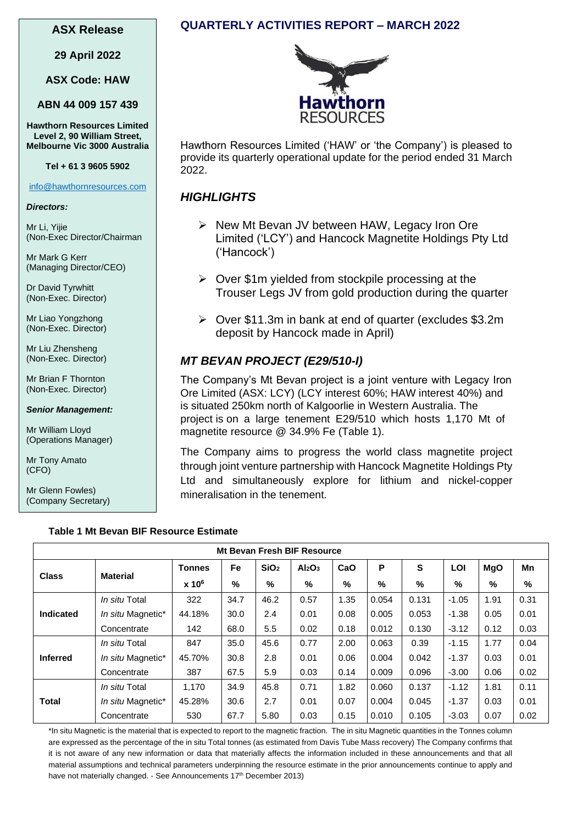#### **ASX Release**

**29 April 2022**

**ASX Code: HAW**

**ABN 44 009 157 439**

**Hawthorn Resources Limited Level 2, 90 William Street, Melbourne Vic 3000 Australia**

#### **Tel + 61 3 9605 5902**

#### [info@hawthornresources.com](mailto:info@hawthornresources.com)

#### *Directors:*

Mr Li, Yijie (Non-Exec Director/Chairman

Mr Mark G Kerr (Managing Director/CEO)

Dr David Tyrwhitt (Non-Exec. Director)

Mr Liao Yongzhong (Non-Exec. Director)

Mr Liu Zhensheng (Non-Exec. Director)

Mr Brian F Thornton (Non-Exec. Director)

*Senior Management:*

Mr William Lloyd (Operations Manager)

Mr Tony Amato (CFO)

Mr Glenn Fowles) (Company Secretary)

## **QUARTERLY ACTIVITIES REPORT – MARCH 2022**



Hawthorn Resources Limited ('HAW' or 'the Company') is pleased to provide its quarterly operational update for the period ended 31 March 2022.

### *HIGHLIGHTS*

- ➢ New Mt Bevan JV between HAW, Legacy Iron Ore Limited ('LCY') and Hancock Magnetite Holdings Pty Ltd ('Hancock')
- ➢ Over \$1m yielded from stockpile processing at the Trouser Legs JV from gold production during the quarter
- ➢ Over \$11.3m in bank at end of quarter (excludes \$3.2m deposit by Hancock made in April)

## *MT BEVAN PROJECT (E29/510-I)*

The Company's Mt Bevan project is a joint venture with Legacy Iron Ore Limited (ASX: LCY) (LCY interest 60%; HAW interest 40%) and is situated 250km north of Kalgoorlie in Western Australia. The project is on a large tenement E29/510 which hosts 1,170 Mt of magnetite resource @ 34.9% Fe (Table 1).

The Company aims to progress the world class magnetite project through joint venture partnership with Hancock Magnetite Holdings Pty Ltd and simultaneously explore for lithium and nickel-copper mineralisation in the tenement.

|                 | Mt Bevan Fresh BIF Resource |               |      |                  |                                |      |       |       |         |            |               |
|-----------------|-----------------------------|---------------|------|------------------|--------------------------------|------|-------|-------|---------|------------|---------------|
|                 |                             | <b>Tonnes</b> | Fe   | SiO <sub>2</sub> | Al <sub>2</sub> O <sub>3</sub> | CaO  | P     | S     | LOI     | <b>MgO</b> | Mn            |
| <b>Class</b>    | <b>Material</b>             | $x 10^6$      | $\%$ | %                | %                              | $\%$ | %     | %     | %       | %          | $\frac{0}{0}$ |
|                 | In situ Total               | 322           | 34.7 | 46.2             | 0.57                           | 1.35 | 0.054 | 0.131 | $-1.05$ | 1.91       | 0.31          |
| Indicated       | In situ Magnetic*           | 44.18%        | 30.0 | 2.4              | 0.01                           | 0.08 | 0.005 | 0.053 | $-1.38$ | 0.05       | 0.01          |
|                 | Concentrate                 | 142           | 68.0 | 5.5              | 0.02                           | 0.18 | 0.012 | 0.130 | $-3.12$ | 0.12       | 0.03          |
|                 | In situ Total               | 847           | 35.0 | 45.6             | 0.77                           | 2.00 | 0.063 | 0.39  | $-1.15$ | 1.77       | 0.04          |
| <b>Inferred</b> | In situ Magnetic*           | 45.70%        | 30.8 | 2.8              | 0.01                           | 0.06 | 0.004 | 0.042 | $-1.37$ | 0.03       | 0.01          |
|                 | Concentrate                 | 387           | 67.5 | 5.9              | 0.03                           | 0.14 | 0.009 | 0.096 | $-3.00$ | 0.06       | 0.02          |
|                 | In situ Total               | 1.170         | 34.9 | 45.8             | 0.71                           | 1.82 | 0.060 | 0.137 | $-1.12$ | 1.81       | 0.11          |
| <b>Total</b>    | In situ Magnetic*           | 45.28%        | 30.6 | 2.7              | 0.01                           | 0.07 | 0.004 | 0.045 | $-1.37$ | 0.03       | 0.01          |
|                 | Concentrate                 | 530           | 67.7 | 5.80             | 0.03                           | 0.15 | 0.010 | 0.105 | $-3.03$ | 0.07       | 0.02          |

\*In situ Magnetic is the material that is expected to report to the magnetic fraction. The in situ Magnetic quantities in the Tonnes column are expressed as the percentage of the in situ Total tonnes (as estimated from Davis Tube Mass recovery) The Company confirms that it is not aware of any new information or data that materially affects the information included in these announcements and that all material assumptions and technical parameters underpinning the resource estimate in the prior announcements continue to apply and have not materially changed. - See Announcements 17<sup>th</sup> December 2013)

#### **Table 1 Mt Bevan BIF Resource Estimate**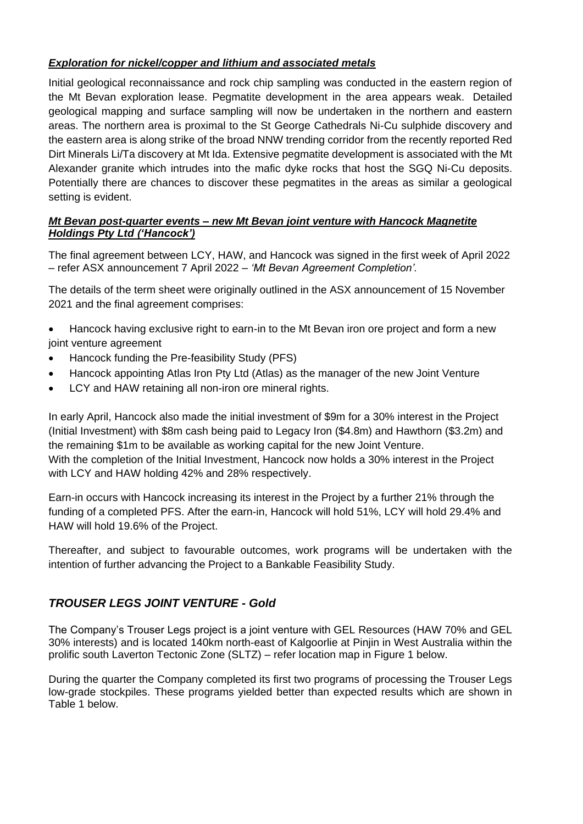#### *Exploration for nickel/copper and lithium and associated metals*

Initial geological reconnaissance and rock chip sampling was conducted in the eastern region of the Mt Bevan exploration lease. Pegmatite development in the area appears weak. Detailed geological mapping and surface sampling will now be undertaken in the northern and eastern areas. The northern area is proximal to the St George Cathedrals Ni-Cu sulphide discovery and the eastern area is along strike of the broad NNW trending corridor from the recently reported Red Dirt Minerals Li/Ta discovery at Mt Ida. Extensive pegmatite development is associated with the Mt Alexander granite which intrudes into the mafic dyke rocks that host the SGQ Ni-Cu deposits. Potentially there are chances to discover these pegmatites in the areas as similar a geological setting is evident.

#### *Mt Bevan post-quarter events – new Mt Bevan joint venture with Hancock Magnetite Holdings Pty Ltd ('Hancock')*

The final agreement between LCY, HAW, and Hancock was signed in the first week of April 2022 – refer ASX announcement 7 April 2022 – *'Mt Bevan Agreement Completion'.*

The details of the term sheet were originally outlined in the ASX announcement of 15 November 2021 and the final agreement comprises:

- Hancock having exclusive right to earn-in to the Mt Bevan iron ore project and form a new joint venture agreement
- Hancock funding the Pre-feasibility Study (PFS)
- Hancock appointing Atlas Iron Pty Ltd (Atlas) as the manager of the new Joint Venture
- LCY and HAW retaining all non-iron ore mineral rights.

In early April, Hancock also made the initial investment of \$9m for a 30% interest in the Project (Initial Investment) with \$8m cash being paid to Legacy Iron (\$4.8m) and Hawthorn (\$3.2m) and the remaining \$1m to be available as working capital for the new Joint Venture. With the completion of the Initial Investment, Hancock now holds a 30% interest in the Project with LCY and HAW holding 42% and 28% respectively.

Earn-in occurs with Hancock increasing its interest in the Project by a further 21% through the funding of a completed PFS. After the earn-in, Hancock will hold 51%, LCY will hold 29.4% and HAW will hold 19.6% of the Project.

Thereafter, and subject to favourable outcomes, work programs will be undertaken with the intention of further advancing the Project to a Bankable Feasibility Study.

# *TROUSER LEGS JOINT VENTURE - Gold*

The Company's Trouser Legs project is a joint venture with GEL Resources (HAW 70% and GEL 30% interests) and is located 140km north-east of Kalgoorlie at Pinjin in West Australia within the prolific south Laverton Tectonic Zone (SLTZ) – refer location map in Figure 1 below.

During the quarter the Company completed its first two programs of processing the Trouser Legs low-grade stockpiles. These programs yielded better than expected results which are shown in Table 1 below.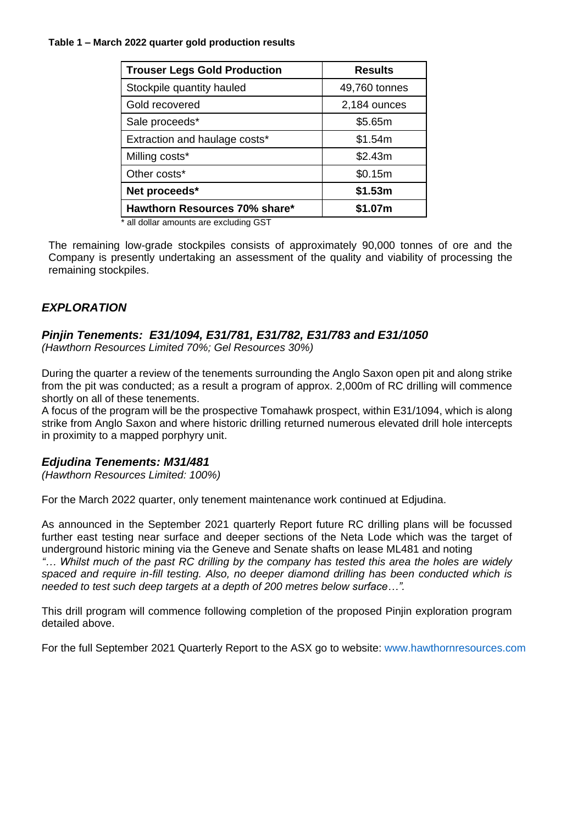#### **Table 1 – March 2022 quarter gold production results**

| <b>Trouser Legs Gold Production</b> | <b>Results</b> |  |
|-------------------------------------|----------------|--|
| Stockpile quantity hauled           | 49,760 tonnes  |  |
| Gold recovered                      | 2,184 ounces   |  |
| Sale proceeds*                      | \$5.65m        |  |
| Extraction and haulage costs*       | \$1.54m        |  |
| Milling costs*                      | \$2.43m        |  |
| Other costs*                        | \$0.15m        |  |
| Net proceeds*                       | \$1.53m        |  |
| Hawthorn Resources 70% share*       | \$1.07m        |  |

\* all dollar amounts are excluding GST

The remaining low-grade stockpiles consists of approximately 90,000 tonnes of ore and the Company is presently undertaking an assessment of the quality and viability of processing the remaining stockpiles.

# *EXPLORATION*

# *Pinjin Tenements: E31/1094, E31/781, E31/782, E31/783 and E31/1050*

*(Hawthorn Resources Limited 70%; Gel Resources 30%)* 

During the quarter a review of the tenements surrounding the Anglo Saxon open pit and along strike from the pit was conducted; as a result a program of approx. 2,000m of RC drilling will commence shortly on all of these tenements.

A focus of the program will be the prospective Tomahawk prospect, within E31/1094, which is along strike from Anglo Saxon and where historic drilling returned numerous elevated drill hole intercepts in proximity to a mapped porphyry unit.

#### *Edjudina Tenements: M31/481*

*(Hawthorn Resources Limited: 100%)*

For the March 2022 quarter, only tenement maintenance work continued at Edjudina.

As announced in the September 2021 quarterly Report future RC drilling plans will be focussed further east testing near surface and deeper sections of the Neta Lode which was the target of underground historic mining via the Geneve and Senate shafts on lease ML481 and noting *"… Whilst much of the past RC drilling by the company has tested this area the holes are widely spaced and require in-fill testing. Also, no deeper diamond drilling has been conducted which is needed to test such deep targets at a depth of 200 metres below surface…".*

This drill program will commence following completion of the proposed Pinjin exploration program detailed above.

For the full September 2021 Quarterly Report to the ASX go to website: www.hawthornresources.com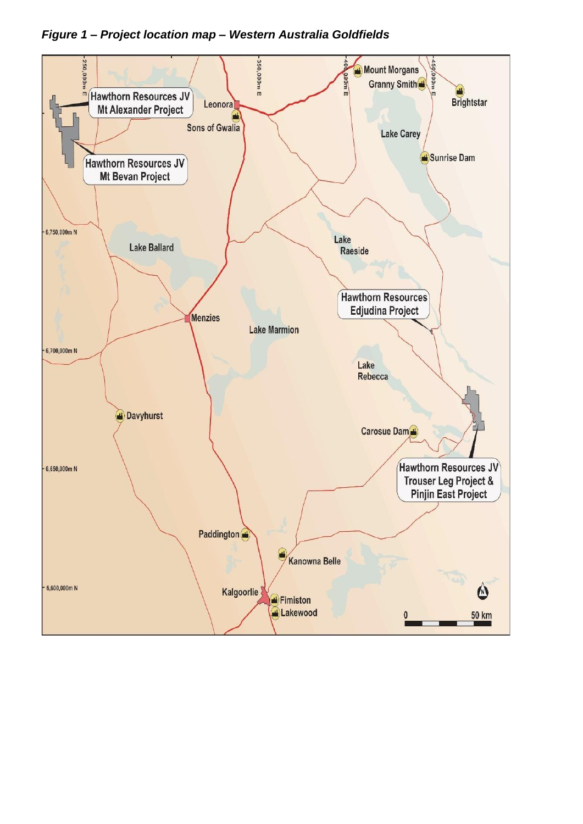# *Figure 1 – Project location map – Western Australia Goldfields*

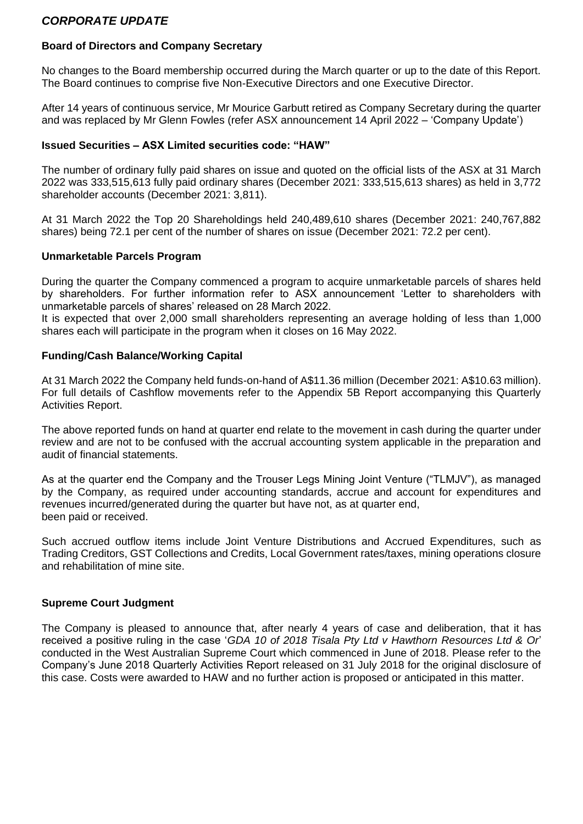#### *CORPORATE UPDATE*

# **Board of Directors and Company Secretary**

No changes to the Board membership occurred during the March quarter or up to the date of this Report. The Board continues to comprise five Non-Executive Directors and one Executive Director.

After 14 years of continuous service, Mr Mourice Garbutt retired as Company Secretary during the quarter and was replaced by Mr Glenn Fowles (refer ASX announcement 14 April 2022 – 'Company Update')

### **Issued Securities – ASX Limited securities code: "HAW"**

The number of ordinary fully paid shares on issue and quoted on the official lists of the ASX at 31 March 2022 was 333,515,613 fully paid ordinary shares (December 2021: 333,515,613 shares) as held in 3,772 shareholder accounts (December 2021: 3,811).

At 31 March 2022 the Top 20 Shareholdings held 240,489,610 shares (December 2021: 240,767,882 shares) being 72.1 per cent of the number of shares on issue (December 2021: 72.2 per cent).

## **Unmarketable Parcels Program**

During the quarter the Company commenced a program to acquire unmarketable parcels of shares held by shareholders. For further information refer to ASX announcement 'Letter to shareholders with unmarketable parcels of shares' released on 28 March 2022.

It is expected that over 2,000 small shareholders representing an average holding of less than 1,000 shares each will participate in the program when it closes on 16 May 2022.

## **Funding/Cash Balance/Working Capital**

At 31 March 2022 the Company held funds-on-hand of A\$11.36 million (December 2021: A\$10.63 million). For full details of Cashflow movements refer to the Appendix 5B Report accompanying this Quarterly Activities Report.

The above reported funds on hand at quarter end relate to the movement in cash during the quarter under review and are not to be confused with the accrual accounting system applicable in the preparation and audit of financial statements.

As at the quarter end the Company and the Trouser Legs Mining Joint Venture ("TLMJV"), as managed by the Company, as required under accounting standards, accrue and account for expenditures and revenues incurred/generated during the quarter but have not, as at quarter end, been paid or received.

Such accrued outflow items include Joint Venture Distributions and Accrued Expenditures, such as Trading Creditors, GST Collections and Credits, Local Government rates/taxes, mining operations closure and rehabilitation of mine site.

## **Supreme Court Judgment**

The Company is pleased to announce that, after nearly 4 years of case and deliberation, that it has received a positive ruling in the case '*GDA 10 of 2018 Tisala Pty Ltd v Hawthorn Resources Ltd & Or*' conducted in the West Australian Supreme Court which commenced in June of 2018. Please refer to the Company's June 2018 Quarterly Activities Report released on 31 July 2018 for the original disclosure of this case. Costs were awarded to HAW and no further action is proposed or anticipated in this matter.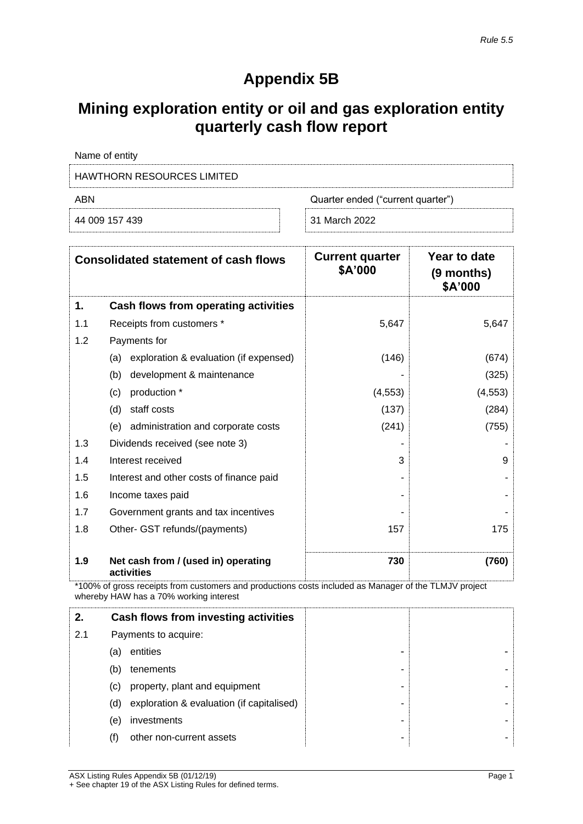# **Appendix 5B**

# **Mining exploration entity or oil and gas exploration entity quarterly cash flow report**

| Name of entity             |                                   |
|----------------------------|-----------------------------------|
| HAWTHORN RESOURCES LIMITED |                                   |
| ABN                        | Quarter ended ("current quarter") |
| 44 009 157 439             | 31 March 2022                     |

|     | <b>Consolidated statement of cash flows</b>       | <b>Current quarter</b><br>\$A'000 | Year to date<br>(9 months)<br>\$A'000 |
|-----|---------------------------------------------------|-----------------------------------|---------------------------------------|
| 1.  | Cash flows from operating activities              |                                   |                                       |
| 1.1 | Receipts from customers *                         | 5,647                             | 5,647                                 |
| 1.2 | Payments for                                      |                                   |                                       |
|     | exploration & evaluation (if expensed)<br>(a)     | (146)                             | (674)                                 |
|     | (b)<br>development & maintenance                  |                                   | (325)                                 |
|     | production *<br>(c)                               | (4, 553)                          | (4, 553)                              |
|     | (d)<br>staff costs                                | (137)                             | (284)                                 |
|     | administration and corporate costs<br>(e)         | (241)                             | (755)                                 |
| 1.3 | Dividends received (see note 3)                   |                                   |                                       |
| 1.4 | Interest received                                 | 3                                 | 9                                     |
| 1.5 | Interest and other costs of finance paid          |                                   |                                       |
| 1.6 | Income taxes paid                                 |                                   |                                       |
| 1.7 | Government grants and tax incentives              |                                   |                                       |
| 1.8 | Other- GST refunds/(payments)                     | 157                               | 175                                   |
| 1.9 | Net cash from / (used in) operating<br>activities | 730                               | (760)                                 |

\*100% of gross receipts from customers and productions costs included as Manager of the TLMJV project whereby HAW has a 70% working interest

| 2.  | Cash flows from investing activities             |   |  |
|-----|--------------------------------------------------|---|--|
| 2.1 | Payments to acquire:                             |   |  |
|     | entities<br>(a)                                  | - |  |
|     | (b)<br>tenements                                 | - |  |
|     | property, plant and equipment<br>(C)             | ۰ |  |
|     | exploration & evaluation (if capitalised)<br>(d) | ۰ |  |
|     | investments<br>(e)                               | ۰ |  |
|     | other non-current assets<br>(f)                  | - |  |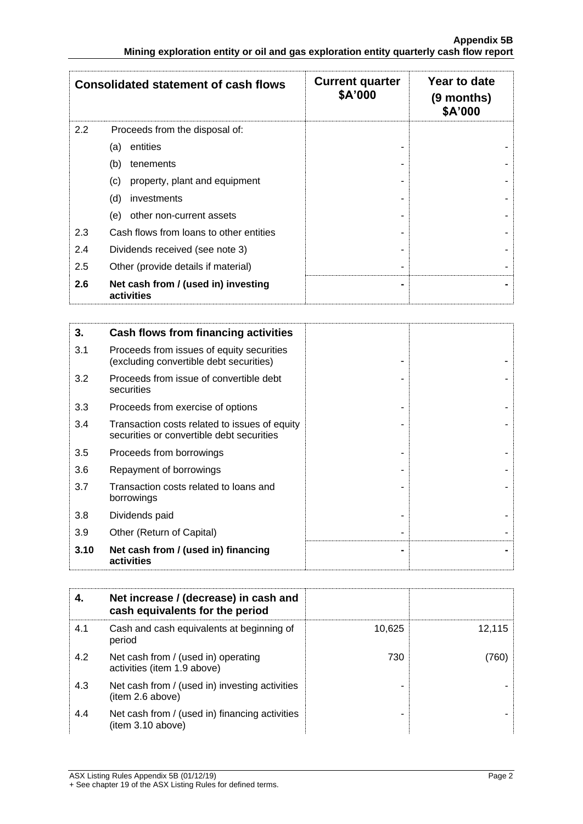|     | <b>Consolidated statement of cash flows</b>       | <b>Current quarter</b><br>\$A'000 | Year to date<br>(9 months)<br>\$A'000 |
|-----|---------------------------------------------------|-----------------------------------|---------------------------------------|
| 2.2 | Proceeds from the disposal of:                    |                                   |                                       |
|     | entities<br>(a)                                   |                                   |                                       |
|     | (b)<br>tenements                                  |                                   |                                       |
|     | property, plant and equipment<br>(c)              |                                   |                                       |
|     | (d)<br>investments                                |                                   |                                       |
|     | (e)<br>other non-current assets                   |                                   |                                       |
| 2.3 | Cash flows from loans to other entities           |                                   |                                       |
| 2.4 | Dividends received (see note 3)                   |                                   |                                       |
| 2.5 | Other (provide details if material)               |                                   |                                       |
| 2.6 | Net cash from / (used in) investing<br>activities |                                   |                                       |

| 3.   | <b>Cash flows from financing activities</b>                                                |  |
|------|--------------------------------------------------------------------------------------------|--|
| 3.1  | Proceeds from issues of equity securities<br>(excluding convertible debt securities)       |  |
| 3.2  | Proceeds from issue of convertible debt<br>securities                                      |  |
| 3.3  | Proceeds from exercise of options                                                          |  |
| 3.4  | Transaction costs related to issues of equity<br>securities or convertible debt securities |  |
| 3.5  | Proceeds from borrowings                                                                   |  |
| 3.6  | Repayment of borrowings                                                                    |  |
| 3.7  | Transaction costs related to loans and<br>borrowings                                       |  |
| 3.8  | Dividends paid                                                                             |  |
| 3.9  | Other (Return of Capital)                                                                  |  |
| 3.10 | Net cash from / (used in) financing<br>activities                                          |  |

| 4.  | Net increase / (decrease) in cash and<br>cash equivalents for the period |        |        |
|-----|--------------------------------------------------------------------------|--------|--------|
| 4.1 | Cash and cash equivalents at beginning of<br>period                      | 10,625 | 12,115 |
| 4.2 | Net cash from / (used in) operating<br>activities (item 1.9 above)       | 730    | (760)  |
| 4.3 | Net cash from / (used in) investing activities<br>item 2.6 above)        |        |        |
| 4.4 | Net cash from / (used in) financing activities<br>(item 3.10 above)      |        |        |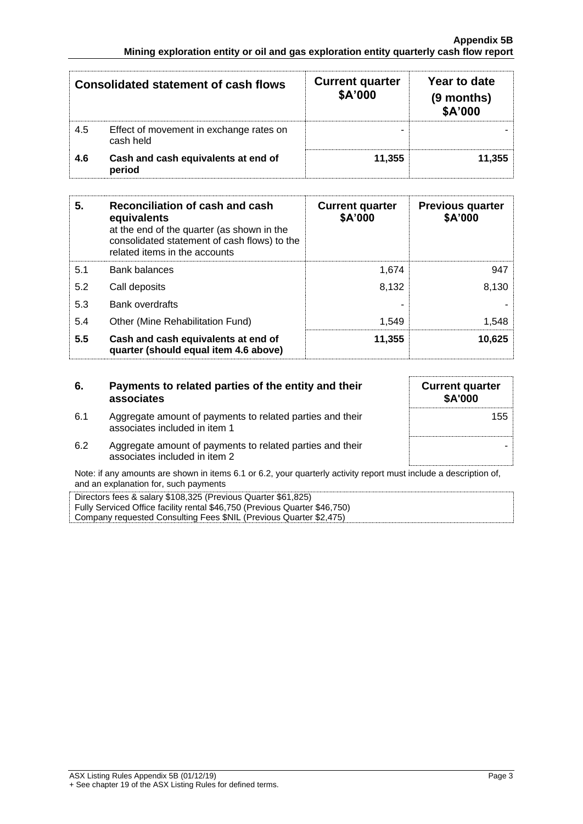| <b>Consolidated statement of cash flows</b> |                                                      | <b>Current quarter</b><br>\$A'000 | Year to date<br>(9 months)<br>\$A'000 |
|---------------------------------------------|------------------------------------------------------|-----------------------------------|---------------------------------------|
| 4.5                                         | Effect of movement in exchange rates on<br>cash held |                                   |                                       |
| 4.6                                         | Cash and cash equivalents at end of<br>period        | 11.355                            | 11.355                                |

| 5.  | Reconciliation of cash and cash<br>equivalents<br>at the end of the quarter (as shown in the<br>consolidated statement of cash flows) to the<br>related items in the accounts | <b>Current quarter</b><br>\$A'000 | <b>Previous quarter</b><br>\$A'000 |
|-----|-------------------------------------------------------------------------------------------------------------------------------------------------------------------------------|-----------------------------------|------------------------------------|
| 5.1 | <b>Bank balances</b>                                                                                                                                                          | 1.674                             | 947                                |
| 5.2 | Call deposits                                                                                                                                                                 | 8,132                             | 8,130                              |
| 5.3 | Bank overdrafts                                                                                                                                                               |                                   |                                    |
| 5.4 | Other (Mine Rehabilitation Fund)                                                                                                                                              | 1,549                             | 1,548                              |
| 5.5 | Cash and cash equivalents at end of<br>quarter (should equal item 4.6 above)                                                                                                  | 11,355                            | 10,625                             |

| 6.  | Payments to related parties of the entity and their<br>associates                          | <b>Current quarter</b><br><b>\$A'000</b> |
|-----|--------------------------------------------------------------------------------------------|------------------------------------------|
| 6.1 | Aggregate amount of payments to related parties and their<br>associates included in item 1 | 155                                      |
| 6.2 | Aggregate amount of payments to related parties and their<br>associates included in item 2 |                                          |

Note: if any amounts are shown in items 6.1 or 6.2, your quarterly activity report must include a description of, and an explanation for, such payments

| Directors fees & salary \$108,325 (Previous Quarter \$61,825)              |
|----------------------------------------------------------------------------|
| Fully Serviced Office facility rental \$46,750 (Previous Quarter \$46,750) |
| Company requested Consulting Fees \$NIL (Previous Quarter \$2,475)         |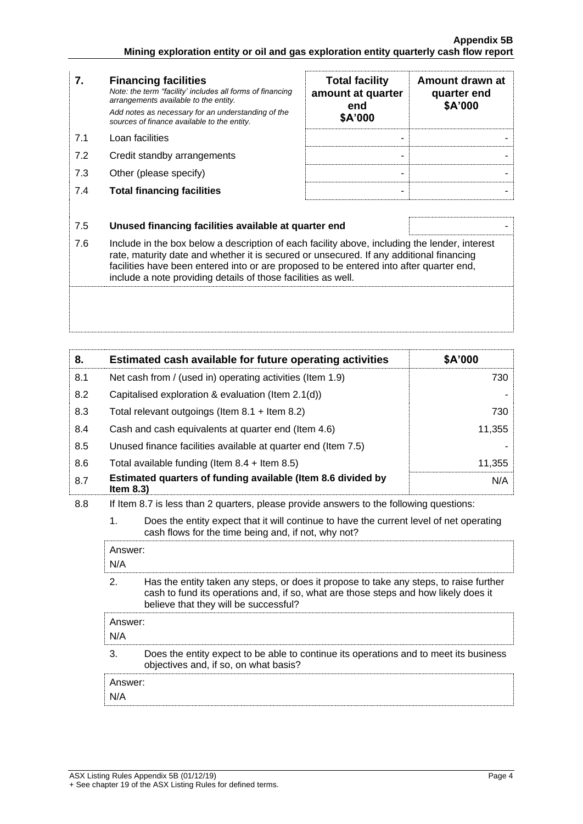| 7.  | <b>Financing facilities</b><br>Note: the term "facility' includes all forms of financing<br>arrangements available to the entity.<br>Add notes as necessary for an understanding of the<br>sources of finance available to the entity.                                                                                                               | <b>Total facility</b><br>amount at quarter<br>end<br>\$A'000 | Amount drawn at<br>quarter end<br>\$A'000 |
|-----|------------------------------------------------------------------------------------------------------------------------------------------------------------------------------------------------------------------------------------------------------------------------------------------------------------------------------------------------------|--------------------------------------------------------------|-------------------------------------------|
| 7.1 | Loan facilities                                                                                                                                                                                                                                                                                                                                      |                                                              |                                           |
| 7.2 | Credit standby arrangements                                                                                                                                                                                                                                                                                                                          |                                                              |                                           |
| 7.3 | Other (please specify)                                                                                                                                                                                                                                                                                                                               |                                                              |                                           |
| 7.4 | <b>Total financing facilities</b>                                                                                                                                                                                                                                                                                                                    |                                                              |                                           |
|     |                                                                                                                                                                                                                                                                                                                                                      |                                                              |                                           |
| 7.5 | Unused financing facilities available at quarter end                                                                                                                                                                                                                                                                                                 |                                                              |                                           |
| 7.6 | Include in the box below a description of each facility above, including the lender, interest<br>rate, maturity date and whether it is secured or unsecured. If any additional financing<br>facilities have been entered into or are proposed to be entered into after quarter end,<br>include a note providing details of those facilities as well. |                                                              |                                           |
|     |                                                                                                                                                                                                                                                                                                                                                      |                                                              |                                           |

| 8.  | Estimated cash available for future operating activities                     | \$A'000 |
|-----|------------------------------------------------------------------------------|---------|
| 8.1 | Net cash from / (used in) operating activities (Item 1.9)                    | 730     |
| 8.2 | Capitalised exploration & evaluation (Item 2.1(d))                           |         |
| 8.3 | Total relevant outgoings (Item $8.1 +$ Item $8.2$ )                          | 730     |
| 8.4 | Cash and cash equivalents at quarter end (Item 4.6)                          | 11,355  |
| 8.5 | Unused finance facilities available at quarter end (Item 7.5)                |         |
| 8.6 | Total available funding (Item $8.4 +$ Item $8.5$ )                           | 11,355  |
| 8.7 | Estimated quarters of funding available (Item 8.6 divided by<br>Item $8.3$ ) | N/A     |

8.8 If Item 8.7 is less than 2 quarters, please provide answers to the following questions:

1. Does the entity expect that it will continue to have the current level of net operating cash flows for the time being and, if not, why not?

| Answer:<br>N/A |                                                                                                                                                                                                                        |  |  |
|----------------|------------------------------------------------------------------------------------------------------------------------------------------------------------------------------------------------------------------------|--|--|
| 2              | Has the entity taken any steps, or does it propose to take any steps, to raise further<br>cash to fund its operations and, if so, what are those steps and how likely does it<br>believe that they will be successful? |  |  |
| Answer:<br>N/A |                                                                                                                                                                                                                        |  |  |
| 3              | Does the entity expect to be able to continue its operations and to meet its business<br>objectives and, if so, on what basis?                                                                                         |  |  |
| Answer:<br>N/A |                                                                                                                                                                                                                        |  |  |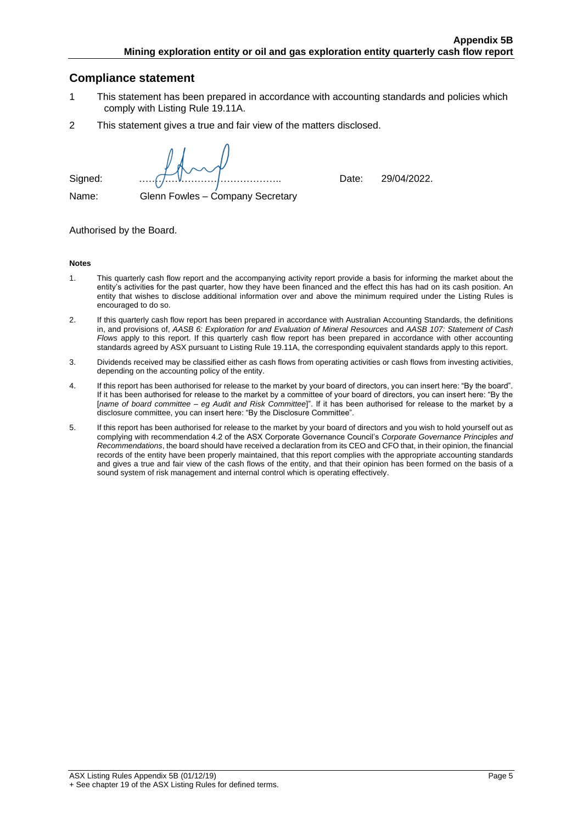#### **Compliance statement**

- 1 This statement has been prepared in accordance with accounting standards and policies which comply with Listing Rule 19.11A.
- 2 This statement gives a true and fair view of the matters disclosed.

Signed: …………………………………….. Date: 29/04/2022.

Name: Glenn Fowles – Company Secretary

#### Authorised by the Board.

#### **Notes**

- 1. This quarterly cash flow report and the accompanying activity report provide a basis for informing the market about the entity's activities for the past quarter, how they have been financed and the effect this has had on its cash position. An entity that wishes to disclose additional information over and above the minimum required under the Listing Rules is encouraged to do so.
- 2. If this quarterly cash flow report has been prepared in accordance with Australian Accounting Standards, the definitions in, and provisions of, *AASB 6: Exploration for and Evaluation of Mineral Resources* and *AASB 107: Statement of Cash Flows* apply to this report. If this quarterly cash flow report has been prepared in accordance with other accounting standards agreed by ASX pursuant to Listing Rule 19.11A, the corresponding equivalent standards apply to this report.
- 3. Dividends received may be classified either as cash flows from operating activities or cash flows from investing activities, depending on the accounting policy of the entity.
- 4. If this report has been authorised for release to the market by your board of directors, you can insert here: "By the board". If it has been authorised for release to the market by a committee of your board of directors, you can insert here: "By the [*name of board committee* – *eg Audit and Risk Committee*]". If it has been authorised for release to the market by a disclosure committee, you can insert here: "By the Disclosure Committee".
- 5. If this report has been authorised for release to the market by your board of directors and you wish to hold yourself out as complying with recommendation 4.2 of the ASX Corporate Governance Council's *Corporate Governance Principles and Recommendations*, the board should have received a declaration from its CEO and CFO that, in their opinion, the financial records of the entity have been properly maintained, that this report complies with the appropriate accounting standards and gives a true and fair view of the cash flows of the entity, and that their opinion has been formed on the basis of a sound system of risk management and internal control which is operating effectively.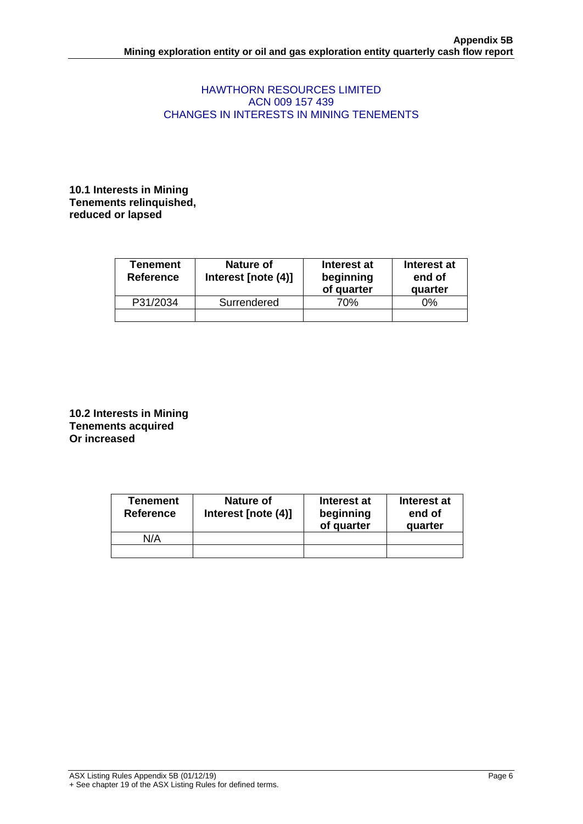#### HAWTHORN RESOURCES LIMITED ACN 009 157 439 CHANGES IN INTERESTS IN MINING TENEMENTS

**10.1 Interests in Mining Tenements relinquished, reduced or lapsed**

| <b>Tenement</b><br><b>Reference</b> | Nature of<br>Interest [note (4)] | Interest at<br>beginning<br>of quarter | Interest at<br>end of<br>quarter |  |
|-------------------------------------|----------------------------------|----------------------------------------|----------------------------------|--|
| P31/2034                            | Surrendered                      | 70%                                    | 0%                               |  |
|                                     |                                  |                                        |                                  |  |

**10.2 Interests in Mining Tenements acquired Or increased**

| <b>Tenement</b><br><b>Reference</b> | Nature of<br>Interest [note (4)] | Interest at<br>beginning<br>of quarter | Interest at<br>end of<br>quarter |
|-------------------------------------|----------------------------------|----------------------------------------|----------------------------------|
| N/A                                 |                                  |                                        |                                  |
|                                     |                                  |                                        |                                  |